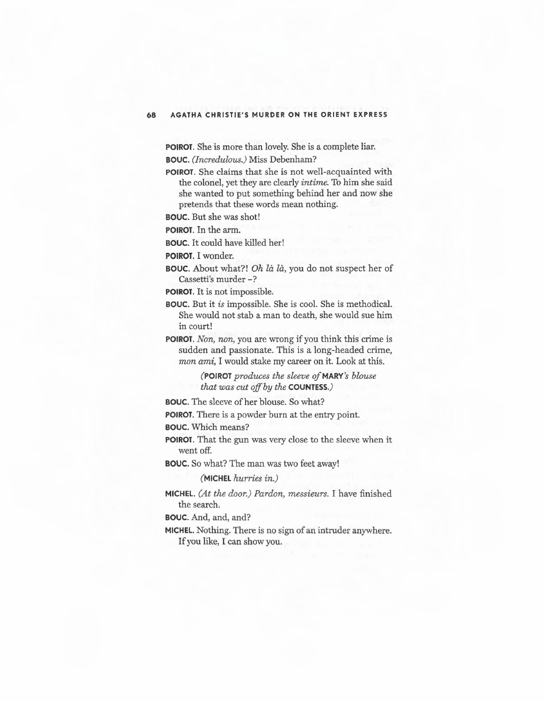**POIROT.** She is more than lovely. She is a complete liar. **BOUC.** *(Incredulous.)* Miss Debenham?

**POIROT.** She claims that she is not well-acquainted with the colonel, yet they are clearly *intime.* To him she said she wanted to put something behind her and now she pretends that these words mean nothing.

**BOUC.** But she was shot!

**POIROT.** In the arm.

**BOUC.** It could have killed her!

**POIROT.** I wonder.

**BOUC.** About what?! *Oh la la,* you do not suspect her of Cassetti's murder -?

**POIROT.** It is not impossible.

**BOUC.** But it *is* impossible. She is cool. She is methodical. She would not stab a man to death, she would sue him in court!

**POIROT.** *Non, non,* you are wrong if you think this crime is sudden and passionate. This is a long-headed crime, *mon ami,* I would stake my career on it. Look at this.

> **(POIROT** *produces the sleeve* **ofMARY's** *blouse that was cut off by the* **COUNTESS.)**

**BOUC.** The sleeve of her blouse. So what?

**POIROT.** There is a powder burn at the entry point.

**BOUC.** Which means?

**POIROT.** That the gun was very close to the sleeve when it went off.

**BOUC.** So what? The man *was* two feet away!

**(MICHEL** *hurries in.)* 

**MICHEL.** *(At the door.) Pardon, messieurs.* I have finished the search.

**BOUC.** And, and, and?

**MICHEL.** Nothing. There is no sign of an intruder anywhere. If you like, I can show you.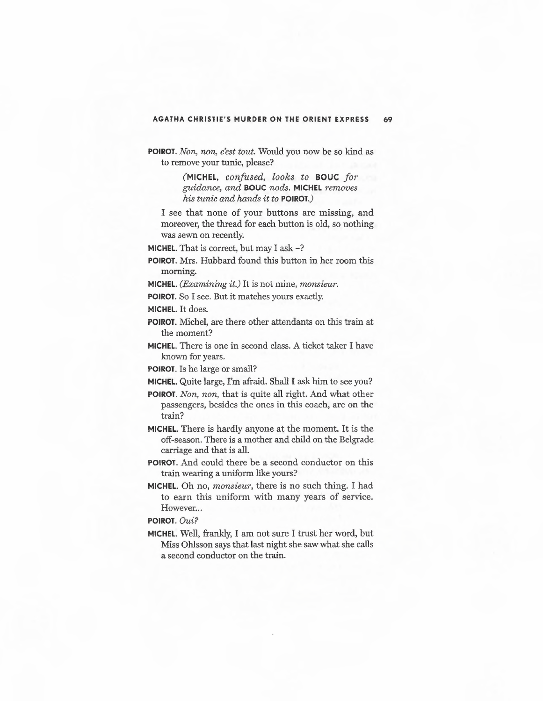**POIROT.** *Non, non, c'est tout.* Would you now be so kind as to remove your tunic, please?

> **(MICHEL,** *confused, looks to* **BOUC** *for guidance, and* **BOUC** *nods.* **MICHEL** *removes his tunic and hands it to* **POIROT.)**

I see that none of your buttons are missing, and moreover, the thread for each button is old, so nothing was sewn on recently.

**MICHEL.** That is correct, but may I ask -?

**POIROT.** Mrs. Hubbard found this button in her room this morning.

**MICHEL.** *(Examining it.)* It is not mine, *monsieur.* 

**POIROT.** So I see. But it matches yours exactly.

**MICHEL.** It does.

**POIROT.** Michel, are there other attendants on this train at the moment?

**MICHEL.** There is one in second class. A ticket taker I have known for years.

**POIROT.** Is he large or small?

- **MICHEL.** Quite large, I'm afraid. Shall I ask him to see you?
- **POIROT.** *Non, non,* that is quite all right. And what other passengers, besides the ones in this coach, are on the train?
- **MICHEL.** There is hardly anyone at the moment. It is the off-season. There is a mother and child on the Belgrade carriage and that is all.
- **POIROT.** And could there be a second conductor on this train wearing a uniform like yours?
- **MICHEL.** Oh no, *monsieur,* there is no such thing. I had to earn this uniform with many years of service. However...

## **POIROT.** *Oui?*

**MICHEL.** Well, frankly, I am not sure I trust her word, but Miss Ohlsson says that last night she saw what she calls a second conductor on the train.